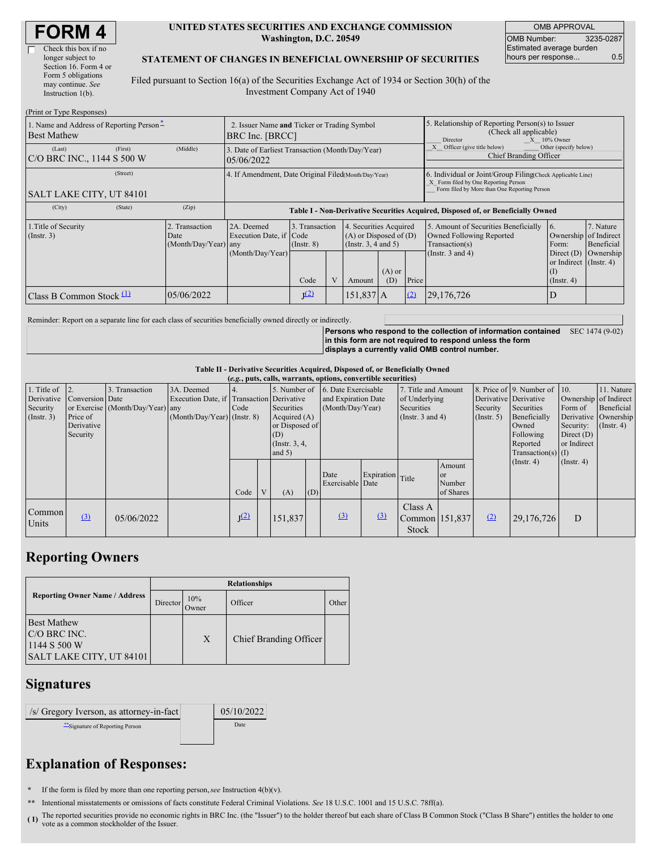| <b>FORM4</b> |
|--------------|
|--------------|

| Check this box if no  |
|-----------------------|
| longer subject to     |
| Section 16. Form 4 or |
| Form 5 obligations    |
| may continue. See     |
| Instruction 1(b).     |
|                       |

#### **UNITED STATES SECURITIES AND EXCHANGE COMMISSION Washington, D.C. 20549**

OMB APPROVAL OMB Number: 3235-0287 Estimated average burden hours per response... 0.5

#### **STATEMENT OF CHANGES IN BENEFICIAL OWNERSHIP OF SECURITIES**

Filed pursuant to Section 16(a) of the Securities Exchange Act of 1934 or Section 30(h) of the Investment Company Act of 1940

| (Print or Type Responses)                                                  |                                                                |                                                                                  |                                   |           |                                                                                          |     |                                                                                                            |                                                                                                                                                    |                                                                                        |                                      |  |
|----------------------------------------------------------------------------|----------------------------------------------------------------|----------------------------------------------------------------------------------|-----------------------------------|-----------|------------------------------------------------------------------------------------------|-----|------------------------------------------------------------------------------------------------------------|----------------------------------------------------------------------------------------------------------------------------------------------------|----------------------------------------------------------------------------------------|--------------------------------------|--|
| 1. Name and Address of Reporting Person <sup>*</sup><br><b>Best Mathew</b> | 2. Issuer Name and Ticker or Trading Symbol<br>BRC Inc. [BRCC] |                                                                                  |                                   |           |                                                                                          |     | 5. Relationship of Reporting Person(s) to Issuer<br>(Check all applicable)<br>$X = 10\%$ Owner<br>Director |                                                                                                                                                    |                                                                                        |                                      |  |
| (First)<br>(Last)<br><b>C/O BRC INC., 1144 S 500 W</b>                     | (Middle)                                                       | 3. Date of Earliest Transaction (Month/Day/Year)<br>05/06/2022                   |                                   |           |                                                                                          |     |                                                                                                            | Other (specify below)<br>Officer (give title below)<br><b>Chief Branding Officer</b>                                                               |                                                                                        |                                      |  |
| (Street)<br>SALT LAKE CITY, UT 84101                                       |                                                                | 4. If Amendment, Date Original Filed(Month/Day/Year)                             |                                   |           |                                                                                          |     |                                                                                                            | 6. Individual or Joint/Group Filing(Check Applicable Line)<br>X Form filed by One Reporting Person<br>Form filed by More than One Reporting Person |                                                                                        |                                      |  |
| (City)<br>(State)                                                          | (Zip)                                                          | Table I - Non-Derivative Securities Acquired, Disposed of, or Beneficially Owned |                                   |           |                                                                                          |     |                                                                                                            |                                                                                                                                                    |                                                                                        |                                      |  |
| 1. Title of Security<br>$($ Instr. 3 $)$                                   | 2. Transaction<br>Date<br>(Month/Day/Year) any                 | 2A. Deemed<br>Execution Date, if Code<br>(Month/Day/Year)                        | 3. Transaction<br>$($ Instr. $8)$ |           | 4. Securities Acquired<br>$(A)$ or Disposed of $(D)$<br>(Insert. 3, 4 and 5)<br>$(A)$ or |     |                                                                                                            | 5. Amount of Securities Beneficially<br>Owned Following Reported<br>Transaction(s)<br>(Instr. $3$ and $4$ )                                        | 16.<br>Ownership of Indirect<br>Form:<br>Direct $(D)$<br>or Indirect (Instr. 4)<br>(I) | 7. Nature<br>Beneficial<br>Ownership |  |
|                                                                            |                                                                |                                                                                  | Code                              | V         | Amount                                                                                   | (D) | Price                                                                                                      |                                                                                                                                                    | $($ Instr. 4 $)$                                                                       |                                      |  |
| Class B Common Stock $\Box$                                                |                                                                | J <sup>(2)</sup>                                                                 |                                   | 151,837 A |                                                                                          | (2) | 29,176,726                                                                                                 | D                                                                                                                                                  |                                                                                        |                                      |  |

Reminder: Report on a separate line for each class of securities beneficially owned directly or indirectly.

**Persons who respond to the collection of information contained in this form are not required to respond unless the form displays a currently valid OMB control number.** SEC 1474 (9-02)

### **Table II - Derivative Securities Acquired, Disposed of, or Beneficially Owned**

| (e.g., puts, calls, warrants, options, convertible securities) |                 |                                  |                                           |           |              |                  |     |                                  |                              |                       |                      |                       |                              |                       |                      |
|----------------------------------------------------------------|-----------------|----------------------------------|-------------------------------------------|-----------|--------------|------------------|-----|----------------------------------|------------------------------|-----------------------|----------------------|-----------------------|------------------------------|-----------------------|----------------------|
| 1. Title of                                                    | $\vert$ 2.      | 3. Transaction                   | 3A. Deemed                                |           |              |                  |     | 5. Number of 6. Date Exercisable |                              | 7. Title and Amount   |                      |                       | 8. Price of 9. Number of 10. |                       | 11. Nature           |
| Derivative                                                     | Conversion Date |                                  | Execution Date, if Transaction Derivative |           |              |                  |     | and Expiration Date              |                              | of Underlying         |                      | Derivative Derivative |                              | Ownership of Indirect |                      |
| Security                                                       |                 | or Exercise (Month/Day/Year) any |                                           | Code      |              | Securities       |     | (Month/Day/Year)                 |                              | <b>Securities</b>     |                      | Security              | Securities                   | Form of               | Beneficial           |
| (Insert. 3)                                                    | Price of        |                                  | (Month/Day/Year) (Instr. 8)               |           |              | Acquired $(A)$   |     |                                  |                              | (Instr. $3$ and $4$ ) |                      | $($ Instr. 5)         | Beneficially                 |                       | Derivative Ownership |
|                                                                | Derivative      |                                  |                                           |           |              | or Disposed of   |     |                                  |                              |                       |                      |                       | Owned                        | Security:             | $($ Instr. 4)        |
|                                                                | Security        |                                  |                                           |           |              | (D)              |     |                                  |                              |                       |                      | Following             | Direct $(D)$                 |                       |                      |
|                                                                |                 |                                  |                                           |           |              | (Instr. $3, 4$ , |     |                                  |                              |                       |                      |                       | Reported                     | or Indirect           |                      |
|                                                                |                 |                                  |                                           |           |              | and $5)$         |     |                                  |                              |                       | $Transaction(s)$ (I) |                       |                              |                       |                      |
|                                                                |                 |                                  |                                           |           |              |                  |     |                                  |                              |                       | Amount               |                       | (Insert. 4)                  | $($ Instr. 4 $)$      |                      |
|                                                                |                 |                                  |                                           |           |              |                  |     | Date                             | Expiration Title             |                       | <b>or</b>            |                       |                              |                       |                      |
|                                                                |                 |                                  |                                           |           |              |                  |     | Exercisable Date                 |                              |                       | Number               |                       |                              |                       |                      |
|                                                                |                 |                                  |                                           | Code      | $\mathbf{V}$ | (A)              | (D) |                                  |                              |                       | of Shares            |                       |                              |                       |                      |
|                                                                |                 |                                  |                                           |           |              |                  |     |                                  |                              | Class A               |                      |                       |                              |                       |                      |
| Common                                                         | $\Omega$        | 05/06/2022                       |                                           | $J^{(2)}$ |              | 151,837          |     | $\Omega$                         | $\left( \frac{3}{2} \right)$ | Common 151,837        |                      | (2)                   | 29,176,726                   | D                     |                      |
| Units                                                          |                 |                                  |                                           |           |              |                  |     |                                  |                              | Stock                 |                      |                       |                              |                       |                      |
|                                                                |                 |                                  |                                           |           |              |                  |     |                                  |                              |                       |                      |                       |                              |                       |                      |

## **Reporting Owners**

|                                                                                | <b>Relationships</b> |              |                               |       |  |  |  |  |  |
|--------------------------------------------------------------------------------|----------------------|--------------|-------------------------------|-------|--|--|--|--|--|
| <b>Reporting Owner Name / Address</b>                                          | Director             | 10%<br>Owner | Officer                       | Other |  |  |  |  |  |
| <b>Best Mathew</b><br>C/O BRC INC.<br>1144 S 500 W<br>SALT LAKE CITY, UT 84101 |                      | X            | <b>Chief Branding Officer</b> |       |  |  |  |  |  |

### **Signatures**

| /s/ Gregory Iverson, as attorney-in-fact | 05/10/2022 |
|------------------------------------------|------------|
| "Signature of Reporting Person           | Date       |
|                                          |            |

# **Explanation of Responses:**

**\*** If the form is filed by more than one reporting person,*see* Instruction 4(b)(v).

**\*\*** Intentional misstatements or omissions of facts constitute Federal Criminal Violations. *See* 18 U.S.C. 1001 and 15 U.S.C. 78ff(a).

(1) The reported securities provide no economic rights in BRC Inc. (the "Issuer") to the holder thereof but each share of Class B Common Stock ("Class B Share") entitles the holder to one was a semmon stockholder of the Is vote as a common stockholder of the Issuer.